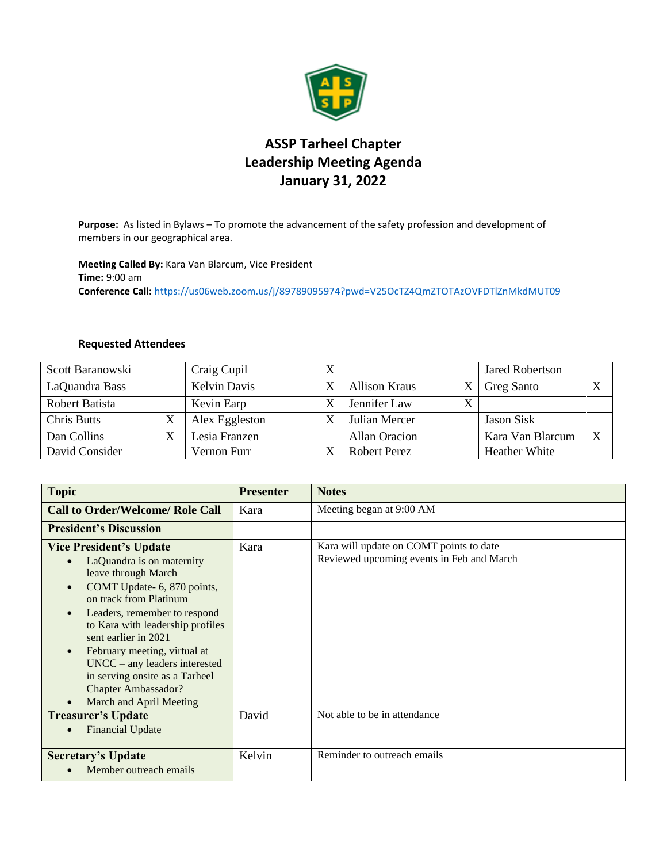

## **ASSP Tarheel Chapter Leadership Meeting Agenda January 31, 2022**

**Purpose:** As listed in Bylaws – To promote the advancement of the safety profession and development of members in our geographical area.

**Meeting Called By:** Kara Van Blarcum, Vice President **Time:** 9:00 am **Conference Call:** <https://us06web.zoom.us/j/89789095974?pwd=V25OcTZ4QmZTOTAzOVFDTlZnMkdMUT09>

## **Requested Attendees**

| Scott Baranowski   |    | Craig Cupil         |                      |              | <b>Jared Robertson</b> |   |
|--------------------|----|---------------------|----------------------|--------------|------------------------|---|
| LaQuandra Bass     |    | <b>Kelvin Davis</b> | <b>Allison Kraus</b> |              | Greg Santo             | X |
| Robert Batista     |    | Kevin Earp          | Jennifer Law         | $\mathbf{v}$ |                        |   |
| <b>Chris Butts</b> | A  | Alex Eggleston      | Julian Mercer        |              | <b>Jason Sisk</b>      |   |
| Dan Collins        | ٦Z | Lesia Franzen       | Allan Oracion        |              | Kara Van Blarcum       | X |
| David Consider     |    | Vernon Furr         | <b>Robert Perez</b>  |              | <b>Heather White</b>   |   |

| <b>Topic</b>                                                                                                                                                                                                                                                                                                                                                                                                                                              | <b>Presenter</b> | <b>Notes</b>                                                                         |
|-----------------------------------------------------------------------------------------------------------------------------------------------------------------------------------------------------------------------------------------------------------------------------------------------------------------------------------------------------------------------------------------------------------------------------------------------------------|------------------|--------------------------------------------------------------------------------------|
| <b>Call to Order/Welcome/ Role Call</b>                                                                                                                                                                                                                                                                                                                                                                                                                   | Kara             | Meeting began at 9:00 AM                                                             |
| <b>President's Discussion</b>                                                                                                                                                                                                                                                                                                                                                                                                                             |                  |                                                                                      |
| <b>Vice President's Update</b><br>LaQuandra is on maternity<br>$\bullet$<br>leave through March<br>COMT Update- 6, 870 points,<br>$\bullet$<br>on track from Platinum<br>Leaders, remember to respond<br>$\bullet$<br>to Kara with leadership profiles<br>sent earlier in 2021<br>February meeting, virtual at<br>$\bullet$<br>$UNCC - any leaders interested$<br>in serving onsite as a Tarheel<br><b>Chapter Ambassador?</b><br>March and April Meeting | Kara             | Kara will update on COMT points to date<br>Reviewed upcoming events in Feb and March |
| <b>Treasurer's Update</b><br><b>Financial Update</b>                                                                                                                                                                                                                                                                                                                                                                                                      | David            | Not able to be in attendance                                                         |
| <b>Secretary's Update</b><br>Member outreach emails                                                                                                                                                                                                                                                                                                                                                                                                       | Kelvin           | Reminder to outreach emails                                                          |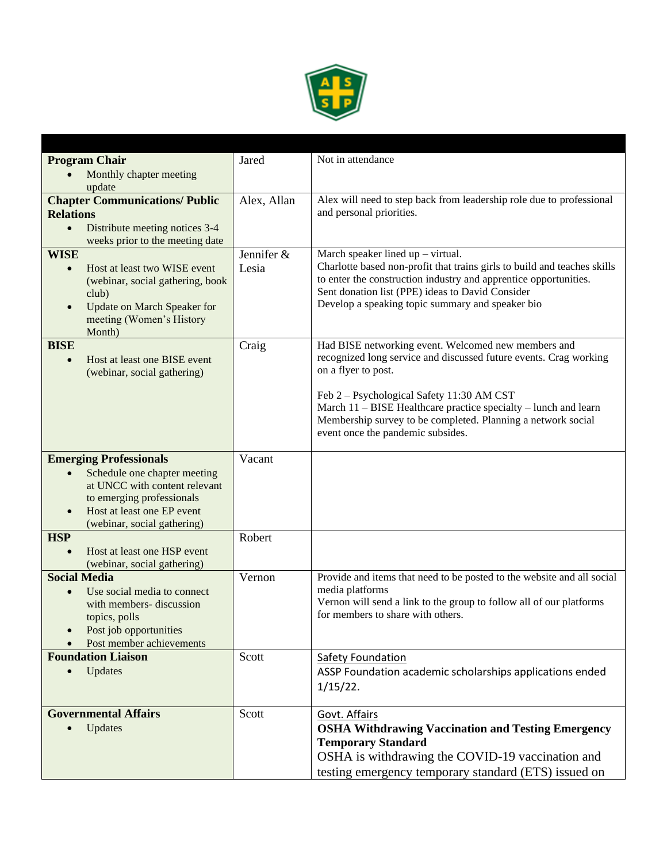

| <b>Program Chair</b>                                                   | Jared       | Not in attendance                                                                                                                            |
|------------------------------------------------------------------------|-------------|----------------------------------------------------------------------------------------------------------------------------------------------|
| Monthly chapter meeting                                                |             |                                                                                                                                              |
| update<br><b>Chapter Communications/ Public</b>                        |             | Alex will need to step back from leadership role due to professional                                                                         |
| <b>Relations</b>                                                       | Alex, Allan | and personal priorities.                                                                                                                     |
| Distribute meeting notices 3-4<br>$\bullet$                            |             |                                                                                                                                              |
| weeks prior to the meeting date                                        |             |                                                                                                                                              |
| <b>WISE</b>                                                            | Jennifer &  | March speaker lined $up - virtual$ .                                                                                                         |
| Host at least two WISE event<br>$\bullet$                              | Lesia       | Charlotte based non-profit that trains girls to build and teaches skills<br>to enter the construction industry and apprentice opportunities. |
| (webinar, social gathering, book<br>club)                              |             | Sent donation list (PPE) ideas to David Consider                                                                                             |
| <b>Update on March Speaker for</b><br>$\bullet$                        |             | Develop a speaking topic summary and speaker bio                                                                                             |
| meeting (Women's History                                               |             |                                                                                                                                              |
| Month)                                                                 |             |                                                                                                                                              |
| <b>BISE</b><br>Host at least one BISE event<br>$\bullet$               | Craig       | Had BISE networking event. Welcomed new members and<br>recognized long service and discussed future events. Crag working                     |
| (webinar, social gathering)                                            |             | on a flyer to post.                                                                                                                          |
|                                                                        |             |                                                                                                                                              |
|                                                                        |             | Feb 2 – Psychological Safety 11:30 AM CST<br>March 11 – BISE Healthcare practice specialty – lunch and learn                                 |
|                                                                        |             | Membership survey to be completed. Planning a network social                                                                                 |
|                                                                        |             | event once the pandemic subsides.                                                                                                            |
| <b>Emerging Professionals</b>                                          | Vacant      |                                                                                                                                              |
| Schedule one chapter meeting<br>$\bullet$                              |             |                                                                                                                                              |
| at UNCC with content relevant                                          |             |                                                                                                                                              |
| to emerging professionals                                              |             |                                                                                                                                              |
| Host at least one EP event<br>$\bullet$<br>(webinar, social gathering) |             |                                                                                                                                              |
| <b>HSP</b>                                                             | Robert      |                                                                                                                                              |
| Host at least one HSP event                                            |             |                                                                                                                                              |
| (webinar, social gathering)                                            |             |                                                                                                                                              |
| <b>Social Media</b>                                                    | Vernon      | Provide and items that need to be posted to the website and all social                                                                       |
| Use social media to connect<br>$\bullet$<br>with members- discussion   |             | media platforms<br>Vernon will send a link to the group to follow all of our platforms                                                       |
| topics, polls                                                          |             | for members to share with others.                                                                                                            |
| Post job opportunities<br>$\bullet$                                    |             |                                                                                                                                              |
| Post member achievements                                               |             |                                                                                                                                              |
| <b>Foundation Liaison</b>                                              | Scott       | <b>Safety Foundation</b>                                                                                                                     |
| Updates<br>$\bullet$                                                   |             | ASSP Foundation academic scholarships applications ended                                                                                     |
|                                                                        |             | $1/15/22$ .                                                                                                                                  |
| <b>Governmental Affairs</b>                                            | Scott       | Govt. Affairs                                                                                                                                |
| Updates                                                                |             | <b>OSHA Withdrawing Vaccination and Testing Emergency</b>                                                                                    |
|                                                                        |             | <b>Temporary Standard</b>                                                                                                                    |
|                                                                        |             | OSHA is withdrawing the COVID-19 vaccination and                                                                                             |
|                                                                        |             | testing emergency temporary standard (ETS) issued on                                                                                         |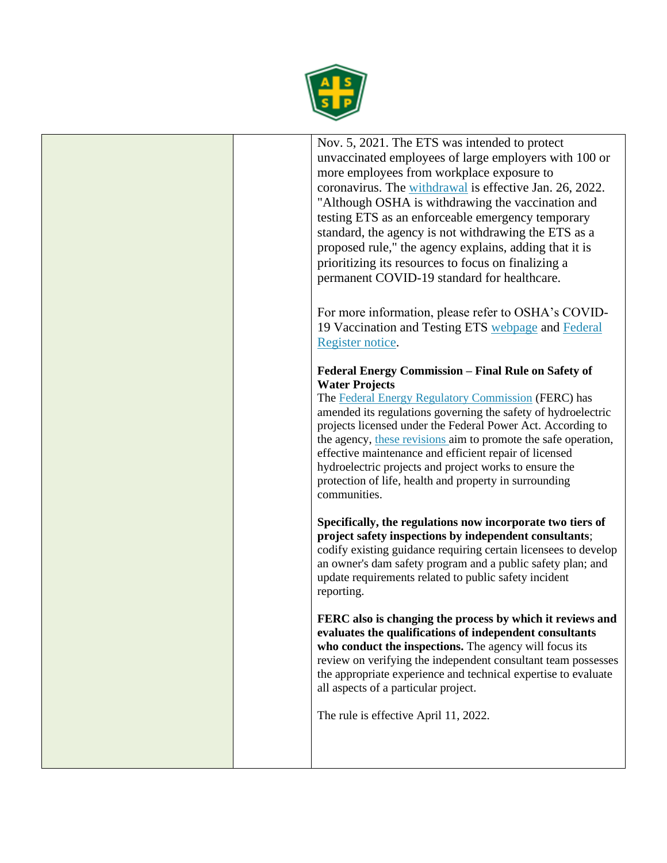

Nov. 5, 2021. The ETS was intended to protect unvaccinated employees of large employers with 100 or more employees from workplace exposure to coronavirus. The [withdrawal](https://gcc02.safelinks.protection.outlook.com/?url=https%3A%2F%2Fwww.federalregister.gov%2Fpublic-inspection%2F2022-01532%2Fcovid19-vaccination-and-testing-emergency-temporary-standard&data=04%7C01%7CKalinowski.Doug%40dol.gov%7C9a8bd0a72ead40db2c6008d9e029470a%7C75a6305472044e0c9126adab971d4aca%7C0%7C0%7C637787290166356148%7CUnknown%7CTWFpbGZsb3d8eyJWIjoiMC4wLjAwMDAiLCJQIjoiV2luMzIiLCJBTiI6Ik1haWwiLCJXVCI6Mn0%3D%7C3000&sdata=vvQDnmFETbotv7sOqZ71Xz0mlMXT%2B0S9j1nEVBBj%2B9M%3D&reserved=0) is effective Jan. 26, 2022. "Although OSHA is withdrawing the vaccination and testing ETS as an enforceable emergency temporary standard, the agency is not withdrawing the ETS as a proposed rule," the agency explains, adding that it is prioritizing its resources to focus on finalizing a permanent COVID-19 standard for healthcare.

For more information, please refer to OSHA's COVID-19 Vaccination and Testing ETS [webpage](https://gcc02.safelinks.protection.outlook.com/?url=https%3A%2F%2Fwww.osha.gov%2Fcoronavirus%2Fets2&data=04%7C01%7CKalinowski.Doug%40dol.gov%7C9a8bd0a72ead40db2c6008d9e029470a%7C75a6305472044e0c9126adab971d4aca%7C0%7C0%7C637787290166356148%7CUnknown%7CTWFpbGZsb3d8eyJWIjoiMC4wLjAwMDAiLCJQIjoiV2luMzIiLCJBTiI6Ik1haWwiLCJXVCI6Mn0%3D%7C3000&sdata=BIjVdAwjXQzDmUJhzAkC4OYLUsC9xtshJAku%2BXsdP2s%3D&reserved=0) and [Federal](https://www.federalregister.gov/public-inspection/2022-01532/covid-19-vaccination-and-testing-emergency-temporary-standard)  [Register notice.](https://www.federalregister.gov/public-inspection/2022-01532/covid-19-vaccination-and-testing-emergency-temporary-standard)

## **Federal Energy Commission – Final Rule on Safety of Water Projects**

The [Federal Energy Regulatory Commission](https://www.ferc.gov/) (FERC) has amended its regulations governing the safety of hydroelectric projects licensed under the Federal Power Act. According to the agency, [these revisions](https://www.govinfo.gov/content/pkg/FR-2022-01-11/html/2021-27736.htm) aim to promote the safe operation, effective maintenance and efficient repair of licensed hydroelectric projects and project works to ensure the protection of life, health and property in surrounding communities.

**Specifically, the regulations now incorporate two tiers of project safety inspections by independent consultants**; codify existing guidance requiring certain licensees to develop an owner's dam safety program and a public safety plan; and update requirements related to public safety incident reporting.

**FERC also is changing the process by which it reviews and evaluates the qualifications of independent consultants**  who conduct the inspections. The agency will focus its review on verifying the independent consultant team possesses the appropriate experience and technical expertise to evaluate all aspects of a particular project.

The rule is effective April 11, 2022.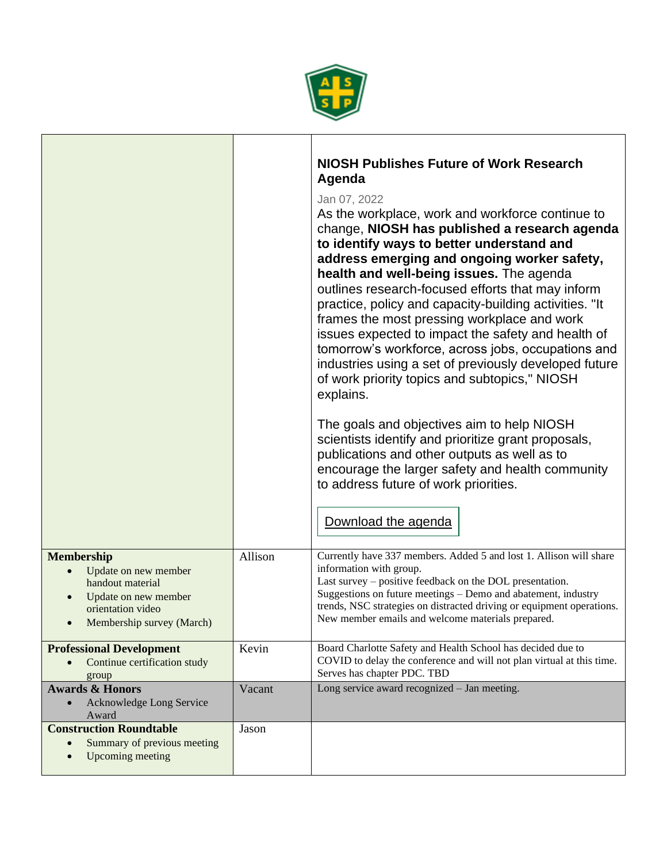

 $\mathbf{I}$ 

|                                                                                                                                                                                |         | <b>NIOSH Publishes Future of Work Research</b><br>Agenda<br>Jan 07, 2022<br>As the workplace, work and workforce continue to<br>change, NIOSH has published a research agenda<br>to identify ways to better understand and<br>address emerging and ongoing worker safety,<br>health and well-being issues. The agenda<br>outlines research-focused efforts that may inform<br>practice, policy and capacity-building activities. "It<br>frames the most pressing workplace and work<br>issues expected to impact the safety and health of<br>tomorrow's workforce, across jobs, occupations and<br>industries using a set of previously developed future<br>of work priority topics and subtopics," NIOSH<br>explains.<br>The goals and objectives aim to help NIOSH<br>scientists identify and prioritize grant proposals,<br>publications and other outputs as well as to<br>encourage the larger safety and health community<br>to address future of work priorities.<br>Download the agenda |
|--------------------------------------------------------------------------------------------------------------------------------------------------------------------------------|---------|-------------------------------------------------------------------------------------------------------------------------------------------------------------------------------------------------------------------------------------------------------------------------------------------------------------------------------------------------------------------------------------------------------------------------------------------------------------------------------------------------------------------------------------------------------------------------------------------------------------------------------------------------------------------------------------------------------------------------------------------------------------------------------------------------------------------------------------------------------------------------------------------------------------------------------------------------------------------------------------------------|
| <b>Membership</b><br>Update on new member<br>$\bullet$<br>handout material<br>Update on new member<br>$\bullet$<br>orientation video<br>Membership survey (March)<br>$\bullet$ | Allison | Currently have 337 members. Added 5 and lost 1. Allison will share<br>information with group.<br>Last survey – positive feedback on the DOL presentation.<br>Suggestions on future meetings - Demo and abatement, industry<br>trends, NSC strategies on distracted driving or equipment operations.<br>New member emails and welcome materials prepared.                                                                                                                                                                                                                                                                                                                                                                                                                                                                                                                                                                                                                                        |
| <b>Professional Development</b><br>Continue certification study<br>$\bullet$<br>group                                                                                          | Kevin   | Board Charlotte Safety and Health School has decided due to<br>COVID to delay the conference and will not plan virtual at this time.<br>Serves has chapter PDC. TBD                                                                                                                                                                                                                                                                                                                                                                                                                                                                                                                                                                                                                                                                                                                                                                                                                             |
| <b>Awards &amp; Honors</b><br>Acknowledge Long Service<br>Award                                                                                                                | Vacant  | Long service award recognized - Jan meeting.                                                                                                                                                                                                                                                                                                                                                                                                                                                                                                                                                                                                                                                                                                                                                                                                                                                                                                                                                    |
| <b>Construction Roundtable</b><br>Summary of previous meeting<br>Upcoming meeting                                                                                              | Jason   |                                                                                                                                                                                                                                                                                                                                                                                                                                                                                                                                                                                                                                                                                                                                                                                                                                                                                                                                                                                                 |